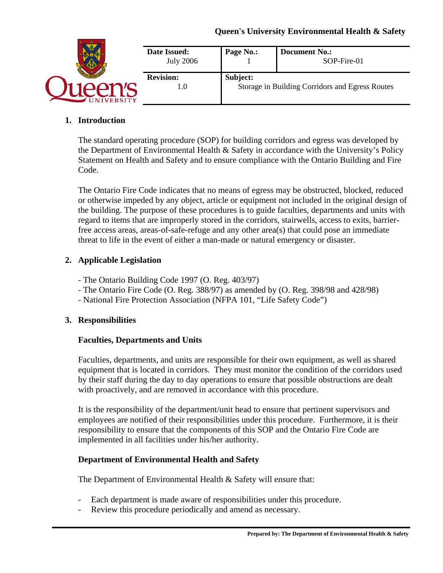# **Queen's University Environmental Health & Safety**

| <b>Date Issued:</b><br><b>July 2006</b> | Page No.:                                                   | <b>Document No.:</b><br>SOP-Fire-01 |
|-----------------------------------------|-------------------------------------------------------------|-------------------------------------|
| <b>Revision:</b><br>1.0                 | Subject:<br>Storage in Building Corridors and Egress Routes |                                     |

## **1. Introduction**

The standard operating procedure (SOP) for building corridors and egress was developed by the Department of Environmental Health & Safety in accordance with the University's Policy Statement on Health and Safety and to ensure compliance with the Ontario Building and Fire Code.

The Ontario Fire Code indicates that no means of egress may be obstructed, blocked, reduced or otherwise impeded by any object, article or equipment not included in the original design of the building. The purpose of these procedures is to guide faculties, departments and units with regard to items that are improperly stored in the corridors, stairwells, access to exits, barrierfree access areas, areas-of-safe-refuge and any other area(s) that could pose an immediate threat to life in the event of either a man-made or natural emergency or disaster.

# **2. Applicable Legislation**

- The Ontario Building Code 1997 (O. Reg. 403/97)
- The Ontario Fire Code (O. Reg. 388/97) as amended by (O. Reg. 398/98 and 428/98)
- National Fire Protection Association (NFPA 101, "Life Safety Code")

## **3. Responsibilities**

## **Faculties, Departments and Units**

Faculties, departments, and units are responsible for their own equipment, as well as shared equipment that is located in corridors. They must monitor the condition of the corridors used by their staff during the day to day operations to ensure that possible obstructions are dealt with proactively, and are removed in accordance with this procedure.

It is the responsibility of the department/unit head to ensure that pertinent supervisors and employees are notified of their responsibilities under this procedure. Furthermore, it is their responsibility to ensure that the components of this SOP and the Ontario Fire Code are implemented in all facilities under his/her authority.

## **Department of Environmental Health and Safety**

The Department of Environmental Health & Safety will ensure that:

- Each department is made aware of responsibilities under this procedure.
- Review this procedure periodically and amend as necessary.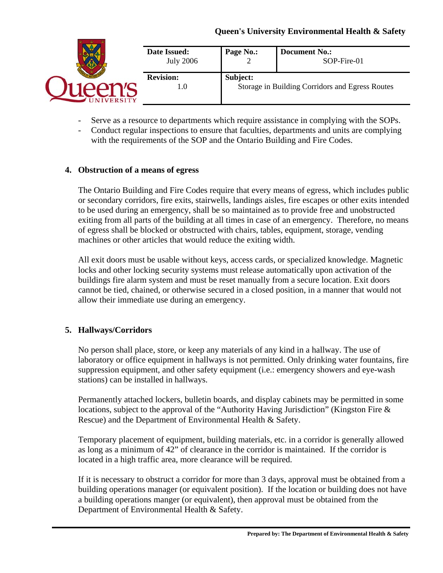# **Queen's University Environmental Health & Safety**

|                | Date Issued:<br><b>July 2006</b> | Page No.:                                                   | <b>Document No.:</b><br>SOP-Fire-01 |
|----------------|----------------------------------|-------------------------------------------------------------|-------------------------------------|
| <b>VERSITY</b> | <b>Revision:</b><br>1.0          | Subject:<br>Storage in Building Corridors and Egress Routes |                                     |

- Serve as a resource to departments which require assistance in complying with the SOPs.
- Conduct regular inspections to ensure that faculties, departments and units are complying with the requirements of the SOP and the Ontario Building and Fire Codes.

## **4. Obstruction of a means of egress**

The Ontario Building and Fire Codes require that every means of egress, which includes public or secondary corridors, fire exits, stairwells, landings aisles, fire escapes or other exits intended to be used during an emergency, shall be so maintained as to provide free and unobstructed exiting from all parts of the building at all times in case of an emergency. Therefore, no means of egress shall be blocked or obstructed with chairs, tables, equipment, storage, vending machines or other articles that would reduce the exiting width.

All exit doors must be usable without keys, access cards, or specialized knowledge. Magnetic locks and other locking security systems must release automatically upon activation of the buildings fire alarm system and must be reset manually from a secure location. Exit doors cannot be tied, chained, or otherwise secured in a closed position, in a manner that would not allow their immediate use during an emergency.

## **5. Hallways/Corridors**

No person shall place, store, or keep any materials of any kind in a hallway. The use of laboratory or office equipment in hallways is not permitted. Only drinking water fountains, fire suppression equipment, and other safety equipment (i.e.: emergency showers and eye-wash stations) can be installed in hallways.

Permanently attached lockers, bulletin boards, and display cabinets may be permitted in some locations, subject to the approval of the "Authority Having Jurisdiction" (Kingston Fire & Rescue) and the Department of Environmental Health & Safety.

Temporary placement of equipment, building materials, etc. in a corridor is generally allowed as long as a minimum of 42" of clearance in the corridor is maintained. If the corridor is located in a high traffic area, more clearance will be required.

If it is necessary to obstruct a corridor for more than 3 days, approval must be obtained from a building operations manager (or equivalent position). If the location or building does not have a building operations manger (or equivalent), then approval must be obtained from the Department of Environmental Health & Safety.